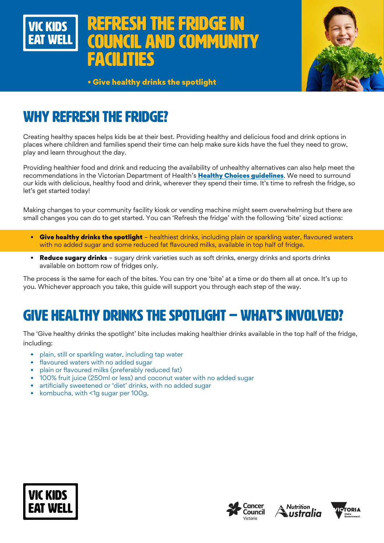



• Give healthy drinks the spotlight

# WHY REFRESH THE FRIDGE?

Creating healthy spaces helps kids be at their best. Providing healthy and delicious food and drink options in places where children and families spend their time can help make sure kids have the fuel they need to grow, play and learn throughout the day.

Providing healthier food and drink and reducing the availability of unhealthy alternatives can also help meet the recommendations in the Victorian Department of Health's [Healthy Choices guidelines](https://www.health.vic.gov.au/preventive-health/healthy-choices). We need to surround our kids with delicious, healthy food and drink, wherever they spend their time. It's time to refresh the fridge, so let's get started today!

Making changes to your community facility kiosk or vending machine might seem overwhelming but there are small changes you can do to get started. You can 'Refresh the fridge' with the following 'bite' sized actions:

- Give healthy drinks the spotlight healthiest drinks, including plain or sparkling water, flavoured waters with no added sugar and some reduced fat flavoured milks, available in top half of fridge.
- Reduce sugary drinks sugary drink varieties such as soft drinks, energy drinks and sports drinks available on bottom row of fridges only.

The process is the same for each of the bites. You can try one 'bite' at a time or do them all at once. It's up to you. Whichever approach you take, this guide will support you through each step of the way.

## GIVE HEALTHY DRINKS THE SPOTLIGHT – WHAT'S INVOLVED?

The 'Give healthy drinks the spotlight' bite includes making healthier drinks available in the top half of the fridge, including:

- plain, still or sparkling water, including tap water
- flavoured waters with no added sugar
- plain or flavoured milks (preferably reduced fat)
- 100% fruit juice (250ml or less) and coconut water with no added sugar
- artificially sweetened or 'diet' drinks, with no added sugar
- kombucha, with <1q sugar per 100q.







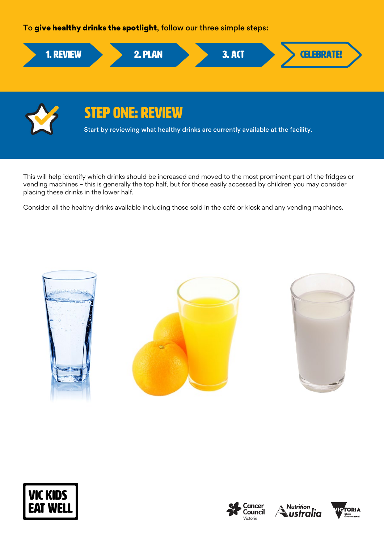To give healthy drinks the spotlight, follow our three simple steps:



Start by reviewing what healthy drinks are currently available at the facility.

This will help identify which drinks should be increased and moved to the most prominent part of the fridges or vending machines – this is generally the top half, but for those easily accessed by children you may consider placing these drinks in the lower half.

Consider all the healthy drinks available including those sold in the café or kiosk and any vending machines.









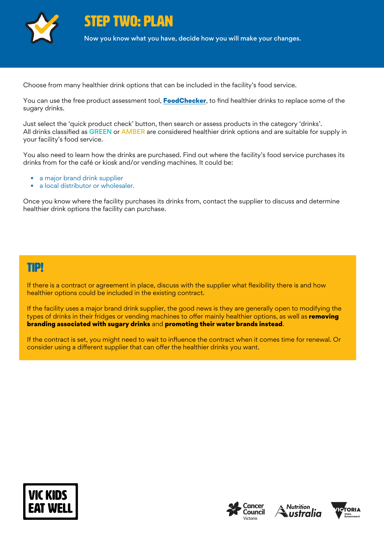

TWO: PLAN

Now you know what you have, decide how you will make your changes.

Choose from many healthier drink options that can be included in the facility's food service.

You can use the free product assessment tool, **[FoodChecker](https://foodchecker.heas.health.vic.gov.au/)**, to find healthier drinks to replace some of the sugary drinks.

Just select the 'quick product check' button, then search or assess products in the category 'drinks'. All drinks classified as GREEN or AMBER are considered healthier drink options and are suitable for supply in your facility's food service.

You also need to learn how the drinks are purchased. Find out where the facility's food service purchases its drinks from for the café or kiosk and/or vending machines. It could be:

- a major brand drink supplier
- a local distributor or wholesaler.

Once you know where the facility purchases its drinks from, contact the supplier to discuss and determine healthier drink options the facility can purchase.

### TIP!

If there is a contract or agreement in place, discuss with the supplier what flexibility there is and how healthier options could be included in the existing contract.

If the facility uses a major brand drink supplier, the good news is they are generally open to modifying the types of drinks in their fridges or vending machines to offer mainly healthier options, as well as **removing** branding associated with sugary drinks and promoting their water brands instead.

If the contract is set, you might need to wait to influence the contract when it comes time for renewal. Or consider using a different supplier that can offer the healthier drinks you want.







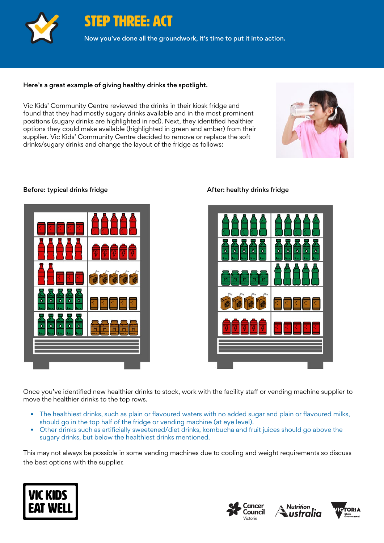

STEP THREE: ACT

Now you've done all the groundwork, it's time to put it into action.

#### Here's a great example of giving healthy drinks the spotlight.

Vic Kids' Community Centre reviewed the drinks in their kiosk fridge and found that they had mostly sugary drinks available and in the most prominent positions (sugary drinks are highlighted in red). Next, they identified healthier options they could make available (highlighted in green and amber) from their supplier. Vic Kids' Community Centre decided to remove or replace the soft drinks/sugary drinks and change the layout of the fridge as follows:



#### Before: typical drinks fridge After: healthy drinks fridge





Once you've identified new healthier drinks to stock, work with the facility staff or vending machine supplier to move the healthier drinks to the top rows.

- The healthiest drinks, such as plain or flavoured waters with no added sugar and plain or flavoured milks, should go in the top half of the fridge or vending machine (at eye level).
- Other drinks such as artificially sweetened/diet drinks, kombucha and fruit juices should go above the sugary drinks, but below the healthiest drinks mentioned.

This may not always be possible in some vending machines due to cooling and weight requirements so discuss the best options with the supplier.







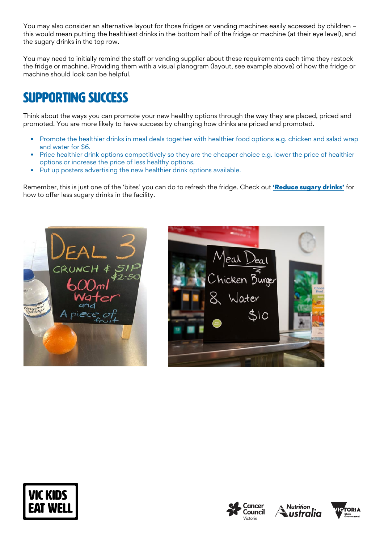You may also consider an alternative layout for those fridges or vending machines easily accessed by children – this would mean putting the healthiest drinks in the bottom half of the fridge or machine (at their eye level), and the sugary drinks in the top row.

You may need to initially remind the staff or vending supplier about these requirements each time they restock the fridge or machine. Providing them with a visual planogram (layout, see example above) of how the fridge or machine should look can be helpful.

## SUPPORTING SUCCESS

Think about the ways you can promote your new healthy options through the way they are placed, priced and promoted. You are more likely to have success by changing how drinks are priced and promoted.

- Promote the healthier drinks in meal deals together with healthier food options e.g. chicken and salad wrap and water for \$6.
- Price healthier drink options competitively so they are the cheaper choice e.g. lower the price of healthier options or increase the price of less healthy options.
- Put up posters advertising the new healthier drink options available.

Remember, this is just one of the 'bites' you can do to refresh the fridge. Check out ['Reduce sugary drinks'](https://www.vickidseatwell.health.vic.gov.au/resources) for how to offer less sugary drinks in the facility.